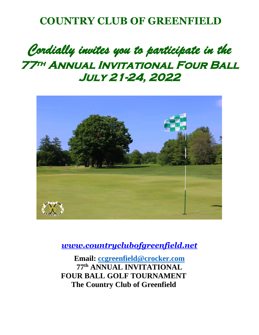## **COUNTRY CLUB OF GREENFIELD**

## *Cordially invites you to participate in the*  **77th Annual Invitational Four Ball July 21-24, 2022**



*[www.countryclubofgreenfield.net](http://www.countryclubofgreenfield.net/)*

**Email: [ccgreenfield@crocker.com](mailto:ccgreenfield@crocker.com) 77 th ANNUAL INVITATIONAL FOUR BALL GOLF TOURNAMENT The Country Club of Greenfield**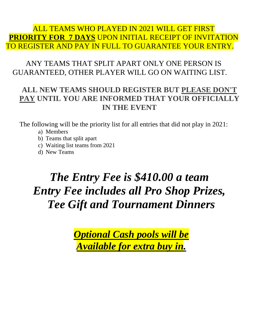### ALL TEAMS WHO PLAYED IN 2021 WILL GET FIRST **PRIORITY FOR 7 DAYS** UPON INITIAL RECEIPT OF INVITATION TO REGISTER AND PAY IN FULL TO GUARANTEE YOUR ENTRY.

## ANY TEAMS THAT SPLIT APART ONLY ONE PERSON IS GUARANTEED, OTHER PLAYER WILL GO ON WAITING LIST.

### **ALL NEW TEAMS SHOULD REGISTER BUT PLEASE DON'T PAY UNTIL YOU ARE INFORMED THAT YOUR OFFICIALLY IN THE EVENT**

The following will be the priority list for all entries that did not play in 2021:

- a) Members
- b) Teams that split apart
- c) Waiting list teams from 2021
- d) New Teams

## *The Entry Fee is \$410.00 a team Entry Fee includes all Pro Shop Prizes, Tee Gift and Tournament Dinners*

*Optional Cash pools will be Available for extra buy in.*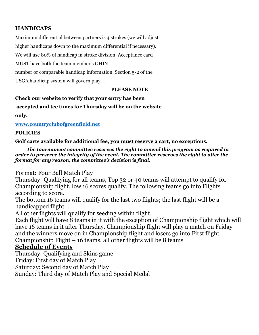#### **HANDICAPS**

Maximum differential between partners is 4 strokes (we will adjust

higher handicaps down to the maximum differential if necessary).

We will use 80% of handicap in stroke division. Acceptance card

MUST have both the team member's GHIN

number or comparable handicap information. Section 5-2 of the

USGA handicap system will govern play.

#### **PLEASE NOTE**

**Check our website to verify that your entry has been**

#### **accepted and tee times for Thursday will be on the website**

**only.** 

**[www.countryclubofgreenfield.net](http://www.countryclubofgreenfield.net/)** 

#### **POLICIES**

**Golf carts available for additional fee, you must reserve a cart, no exceptions.** 

*The tournament committee reserves the right to amend this program as required in order to preserve the integrity of the event. The committee reserves the right to alter the format for any reason, the committee's decision is final.* 

Format: Four Ball Match Play

Thursday- Qualifying for all teams, Top 32 or 40 teams will attempt to qualify for Championship flight, low 16 scores qualify. The following teams go into Flights according to score.

The bottom 16 teams will qualify for the last two flights; the last flight will be a handicapped flight.

All other flights will qualify for seeding within flight.

Each flight will have 8 teams in it with the exception of Championship flight which will have 16 teams in it after Thursday. Championship flight will play a match on Friday and the winners move on in Championship flight and losers go into First flight. Championship Flight  $-16$  teams, all other flights will be 8 teams

#### **Schedule of Events**

Thursday: Qualifying and Skins game

Friday: First day of Match Play

Saturday: Second day of Match Play

Sunday: Third day of Match Play and Special Medal